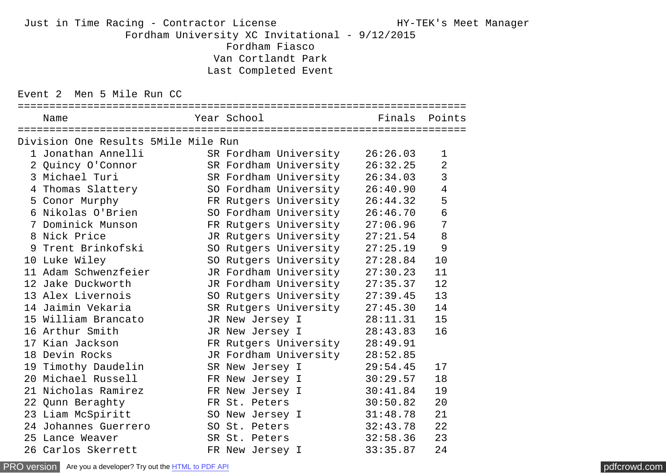## Just in Time Racing - Contractor License The Manager Manager Manager (1997) HY-TEK's Meet Manager Fordham University XC Invitational - 9/12/2015 Fordham Fiasco Van Cortlandt Park Last Completed Event

Event 2 Men 5 Mile Run CC

| :==============================                        |                                |               |                          |
|--------------------------------------------------------|--------------------------------|---------------|--------------------------|
| Name                                                   | Year School                    | Finals Points |                          |
| Division One Results 5Mile Mile Run                    |                                |               |                          |
| 1 Jonathan Annelli               SR Fordham University |                                | 26:26.03      | 1                        |
| 2 Quincy O'Connor SR Fordham University                |                                | 26:32.25      | $\overline{2}$           |
| 3 Michael Turi<br>4 Thomas Slattery<br>5 Conor Murphy  | SR Fordham University          | 26:34.03      | 3                        |
|                                                        | SO Fordham University          | 26:40.90      | $\overline{\mathcal{A}}$ |
|                                                        | FR Rutgers University          | 26:44.32      | 5                        |
| 6 Nikolas O'Brien                                      | SO Fordham University          | 26:46.70      | $\frac{6}{7}$            |
| 7 Dominick Munson                                      | FR Rutgers University          | 27:06.96      |                          |
| 8 Nick Price                                           | JR Rutgers University          | 27:21.54      | 8                        |
| 9 Trent Brinkofski                                     | SO Rutgers University          | 27:25.19      | 9                        |
| 10 Luke Wiley                                          | SO Rutgers University          | 27:28.84      | 10                       |
| 11 Adam Schwenzfeier                                   | JR Fordham University          | 27:30.23      | 11                       |
| 12 Jake Duckworth                                      | JR Fordham University          | 27:35.37      | 12                       |
| 13 Alex Livernois                                      | SO Rutgers University          | 27:39.45      | 13                       |
| 14 Jaimin Vekaria                                      | SR Rutgers University 27:45.30 |               | 14                       |
| 15 William Brancato                                    | JR New Jersey I                | 28:11.31      | 15                       |
| 16 Arthur Smith                                        | JR New Jersey I                | 28:43.83      | 16                       |
| 17 Kian Jackson                                        | FR Rutgers University          | 28:49.91      |                          |
| 18 Devin Rocks                                         | JR Fordham University          | 28:52.85      |                          |
| 19 Timothy Daudelin                                    | SR New Jersey I                | 29:54.45      | 17                       |
|                                                        |                                |               | 18                       |
|                                                        |                                |               | 19                       |
| 22 Qunn Beraghty                                       | FR St. Peters                  | 30:50.82      | 20                       |
| 23 Liam McSpiritt                                      | SO New Jersey I 31:48.78       |               | 21                       |
| 24 Johannes Guerrero                                   | SO St. Peters                  | 32:43.78      | 22                       |
| 25 Lance Weaver                                        | SR St. Peters 32:58.36         |               | 23                       |
| 26 Carlos Skerrett                                     | FR New Jersey I                | 33:35.87      | 24                       |

[PRO version](http://pdfcrowd.com/customize/) Are you a developer? Try out th[e HTML to PDF API](http://pdfcrowd.com/html-to-pdf-api/?ref=pdf) compared to the CHTML of PDF API [pdfcrowd.com](http://pdfcrowd.com)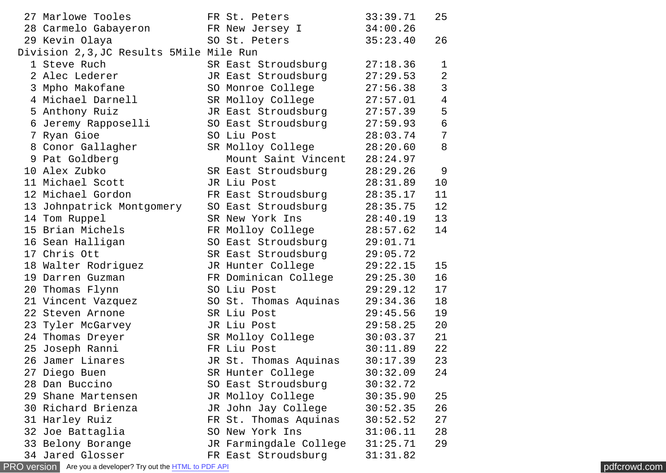| 27 Marlowe Tooles                        | FR St. Peters          | 33:39.71 | 25                       |
|------------------------------------------|------------------------|----------|--------------------------|
| 28 Carmelo Gabayeron                     | FR New Jersey I        | 34:00.26 |                          |
| 29 Kevin Olaya                           | SO St. Peters          | 35:23.40 | 26                       |
| Division 2, 3, JC Results 5Mile Mile Run |                        |          |                          |
| 1 Steve Ruch                             | SR East Stroudsburg    | 27:18.36 | 1                        |
| 2 Alec Lederer                           | JR East Stroudsburg    | 27:29.53 | $\overline{2}$           |
| 3 Mpho Makofane                          | SO Monroe College      | 27:56.38 | 3                        |
| 4 Michael Darnell                        | SR Molloy College      | 27:57.01 | $\overline{\mathcal{L}}$ |
| 5 Anthony Ruiz                           | JR East Stroudsburg    | 27:57.39 | 5                        |
| 6 Jeremy Rapposelli                      | SO East Stroudsburg    | 27:59.93 | $\boldsymbol{6}$         |
| 7 Ryan Gioe                              | SO Liu Post            | 28:03.74 | $\overline{7}$           |
| 8 Conor Gallagher                        | SR Molloy College      | 28:20.60 | 8                        |
| 9 Pat Goldberg                           | Mount Saint Vincent    | 28:24.97 |                          |
| 10 Alex Zubko                            | SR East Stroudsburg    | 28:29.26 | 9                        |
| 11 Michael Scott                         | JR Liu Post            | 28:31.89 | 10                       |
| 12 Michael Gordon                        | FR East Stroudsburg    | 28:35.17 | 11                       |
| 13 Johnpatrick Montgomery                | SO East Stroudsburg    | 28:35.75 | 12                       |
| 14 Tom Ruppel                            | SR New York Ins        | 28:40.19 | 13                       |
| 15 Brian Michels                         | FR Molloy College      | 28:57.62 | 14                       |
| 16 Sean Halligan                         | SO East Stroudsburg    | 29:01.71 |                          |
| 17 Chris Ott                             | SR East Stroudsburg    | 29:05.72 |                          |
| 18 Walter Rodriguez                      | JR Hunter College      | 29:22.15 | 15                       |
| 19 Darren Guzman                         | FR Dominican College   | 29:25.30 | 16                       |
| 20 Thomas Flynn                          | SO Liu Post            | 29:29.12 | 17                       |
| 21 Vincent Vazquez                       | SO St. Thomas Aquinas  | 29:34.36 | 18                       |
| 22 Steven Arnone                         | SR Liu Post            | 29:45.56 | 19                       |
| 23 Tyler McGarvey                        | JR Liu Post            | 29:58.25 | 20                       |
| 24 Thomas Dreyer                         | SR Molloy College      | 30:03.37 | 21                       |
| 25 Joseph Ranni                          | FR Liu Post            | 30:11.89 | 22                       |
| 26 Jamer Linares                         | JR St. Thomas Aquinas  | 30:17.39 | 23                       |
| 27 Diego Buen                            | SR Hunter College      | 30:32.09 | 24                       |
| 28 Dan Buccino                           | SO East Stroudsburg    | 30:32.72 |                          |
| 29 Shane Martensen                       | JR Molloy College      | 30:35.90 | 25                       |
| 30 Richard Brienza                       | JR John Jay College    | 30:52.35 | 26                       |
| 31 Harley Ruiz                           | FR St. Thomas Aquinas  | 30:52.52 | 27                       |
| 32 Joe Battaglia                         | SO New York Ins        | 31:06.11 | 28                       |
| 33 Belony Borange                        | JR Farmingdale College | 31:25.71 | 29                       |
| 34 Jared Glosser                         | FR East Stroudsburg    | 31:31.82 |                          |

[PRO version](http://pdfcrowd.com/customize/) Are you a developer? Try out the **HTML to PDF API [pdfcrowd.com](http://pdfcrowd.com)**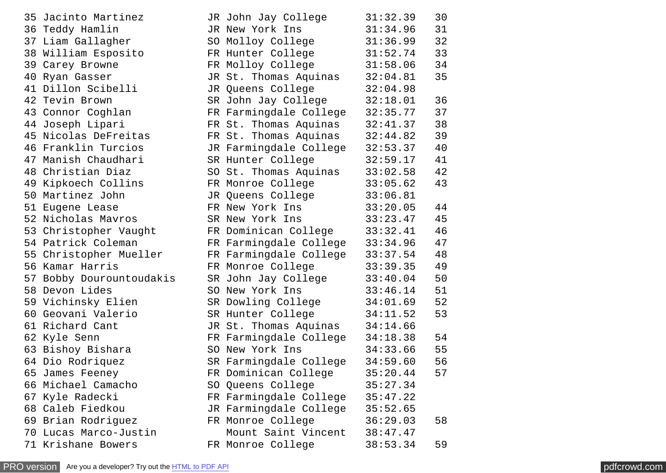| 35 Jacinto Martinez      | JR John Jay College    | 31:32.39 | 30 |
|--------------------------|------------------------|----------|----|
| 36 Teddy Hamlin          | JR New York Ins        | 31:34.96 | 31 |
| 37 Liam Gallagher        | SO Molloy College      | 31:36.99 | 32 |
| 38 William Esposito      | FR Hunter College      | 31:52.74 | 33 |
| 39 Carey Browne          | FR Molloy College      | 31:58.06 | 34 |
| 40 Ryan Gasser           | JR St. Thomas Aquinas  | 32:04.81 | 35 |
| 41 Dillon Scibelli       | JR Queens College      | 32:04.98 |    |
| 42 Tevin Brown           | SR John Jay College    | 32:18.01 | 36 |
| 43 Connor Coghlan        | FR Farmingdale College | 32:35.77 | 37 |
| 44 Joseph Lipari         | FR St. Thomas Aquinas  | 32:41.37 | 38 |
| 45 Nicolas DeFreitas     | FR St. Thomas Aquinas  | 32:44.82 | 39 |
| 46 Franklin Turcios      | JR Farmingdale College | 32:53.37 | 40 |
| 47 Manish Chaudhari      | SR Hunter College      | 32:59.17 | 41 |
| 48 Christian Diaz        | SO St. Thomas Aquinas  | 33:02.58 | 42 |
| 49 Kipkoech Collins      | FR Monroe College      | 33:05.62 | 43 |
| 50 Martinez John         | JR Queens College      | 33:06.81 |    |
| 51 Eugene Lease          | FR New York Ins        | 33:20.05 | 44 |
| 52 Nicholas Mayros       | SR New York Ins        | 33:23.47 | 45 |
| 53 Christopher Vaught    | FR Dominican College   | 33:32.41 | 46 |
| 54 Patrick Coleman       | FR Farmingdale College | 33:34.96 | 47 |
| 55 Christopher Mueller   | FR Farmingdale College | 33:37.54 | 48 |
| 56 Kamar Harris          | FR Monroe College      | 33:39.35 | 49 |
| 57 Bobby Dourountoudakis | SR John Jay College    | 33:40.04 | 50 |
| 58 Devon Lides           | SO New York Ins        | 33:46.14 | 51 |
| 59 Vichinsky Elien       | SR Dowling College     | 34:01.69 | 52 |
| 60 Geovani Valerio       | SR Hunter College      | 34:11.52 | 53 |
| 61 Richard Cant          | JR St. Thomas Aquinas  | 34:14.66 |    |
| 62 Kyle Senn             | FR Farmingdale College | 34:18.38 | 54 |
| 63 Bishoy Bishara        | SO New York Ins        | 34:33.66 | 55 |
| 64 Dio Rodriquez         | SR Farmingdale College | 34:59.60 | 56 |
| 65 James Feeney          | FR Dominican College   | 35:20.44 | 57 |
| 66 Michael Camacho       | SO Queens College      | 35:27.34 |    |
| 67 Kyle Radecki          | FR Farmingdale College | 35:47.22 |    |
| 68 Caleb Fiedkou         | JR Farmingdale College | 35:52.65 |    |
| 69 Brian Rodriguez       | FR Monroe College      | 36:29.03 | 58 |
| 70 Lucas Marco-Justin    | Mount Saint Vincent    | 38:47.47 |    |
| 71 Krishane Bowers       | FR Monroe College      | 38:53.34 | 59 |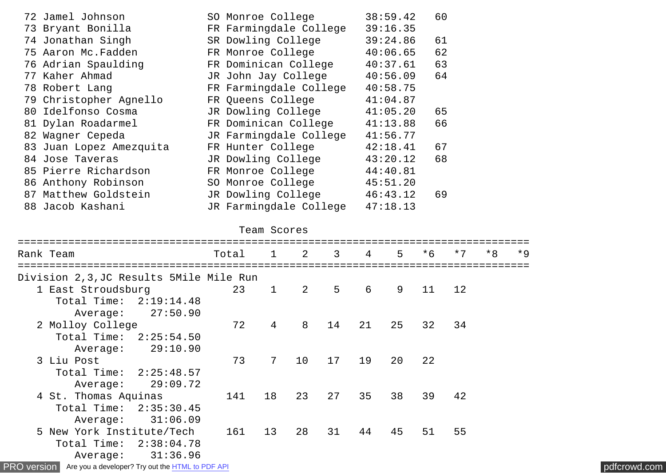| 72 Jamel Johnson        | SO Monroe College      | 38:59.42 | 60 |
|-------------------------|------------------------|----------|----|
| 73 Bryant Bonilla       | FR Farmingdale College | 39:16.35 |    |
| 74 Jonathan Singh       | SR Dowling College     | 39:24.86 | 61 |
| 75 Aaron Mc. Fadden     | FR Monroe College      | 40:06.65 | 62 |
| 76 Adrian Spaulding     | FR Dominican College   | 40:37.61 | 63 |
| 77 Kaher Ahmad          | JR John Jay College    | 40:56.09 | 64 |
| 78 Robert Lang          | FR Farmingdale College | 40:58.75 |    |
| 79 Christopher Agnello  | FR Queens College      | 41:04.87 |    |
| 80 Idelfonso Cosma      | JR Dowling College     | 41:05.20 | 65 |
| 81 Dylan Roadarmel      | FR Dominican College   | 41:13.88 | 66 |
| 82 Wagner Cepeda        | JR Farmingdale College | 41:56.77 |    |
| 83 Juan Lopez Amezquita | FR Hunter College      | 42:18.41 | 67 |
| 84 Jose Taveras         | JR Dowling College     | 43:20.12 | 68 |
| 85 Pierre Richardson    | FR Monroe College      | 44:40.81 |    |
| 86 Anthony Robinson     | SO Monroe College      | 45:51.20 |    |
| 87 Matthew Goldstein    | JR Dowling College     | 46:43.12 | 69 |
| 88 Jacob Kashani        | JR Farmingdale College | 47:18.13 |    |
|                         |                        |          |    |

|  | Team Scores |
|--|-------------|
|  |             |

| Rank Team                                | Total |                | $1 \t2$        | $3^{\circ}$ | $\overline{4}$ | 5 <sub>1</sub> | $*6$ | $*7$ | $*8$ | $*9$ |
|------------------------------------------|-------|----------------|----------------|-------------|----------------|----------------|------|------|------|------|
| Division 2, 3, JC Results 5Mile Mile Run |       |                |                |             |                |                |      |      |      |      |
| 1 East Stroudsburg                       | 23    | $\mathbf 1$    | $\overline{2}$ | 5           | 6              | 9              | 11   | 12   |      |      |
| Total Time: 2:19:14.48                   |       |                |                |             |                |                |      |      |      |      |
| Average: 27:50.90                        |       |                |                |             |                |                |      |      |      |      |
| 2 Molloy College                         | 72    | $\overline{4}$ | 8              | 14          | 21             | 25             | 32   | 34   |      |      |
| Total Time: 2:25:54.50                   |       |                |                |             |                |                |      |      |      |      |
| 29:10.90<br>Average:                     |       |                |                |             |                |                |      |      |      |      |
| 3 Liu Post                               | 73    | $\overline{7}$ | 10             | 17          | 19             | 20             | 22   |      |      |      |
| Total Time: 2:25:48.57                   |       |                |                |             |                |                |      |      |      |      |
| 29:09.72<br>Average:                     |       |                |                |             |                |                |      |      |      |      |
| 4 St. Thomas Aquinas                     | 141   | 18             | 23             | 27          | 35             | 38             | 39   | 42   |      |      |
| Total Time: 2:35:30.45                   |       |                |                |             |                |                |      |      |      |      |
| 31:06.09<br>Average:                     |       |                |                |             |                |                |      |      |      |      |
| 5 New York Institute/Tech                | 161   | 13             | 28             | 31          | 44             | 45             | 51   | 55   |      |      |
| Total Time: 2:38:04.78                   |       |                |                |             |                |                |      |      |      |      |
| 31:36.96<br>Average:                     |       |                |                |             |                |                |      |      |      |      |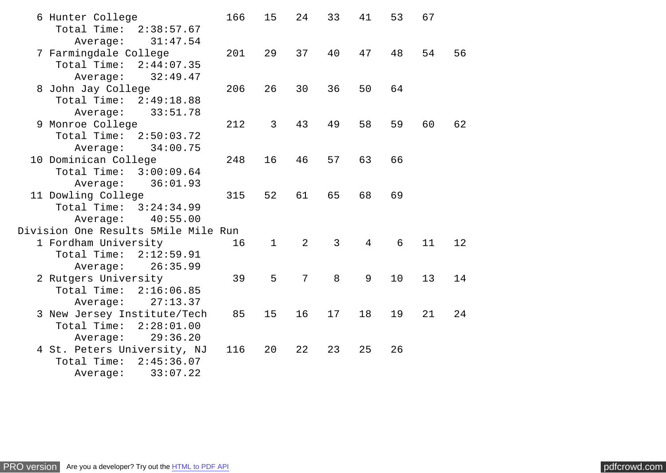| 6 Hunter College                                   | 166 | 15           | 24             | 33 | 41             | 53 | 67 |    |
|----------------------------------------------------|-----|--------------|----------------|----|----------------|----|----|----|
| Total Time: 2:38:57.67                             |     |              |                |    |                |    |    |    |
| Average:<br>31:47.54                               |     |              |                | 40 | 47             |    |    |    |
| 7 Farmingdale College<br>Total Time:<br>2:44:07.35 | 201 | 29           | 37             |    |                | 48 | 54 | 56 |
| 32:49.47<br>Average:                               |     |              |                |    |                |    |    |    |
| 8 John Jay College                                 | 206 | 26           | 30             | 36 | 50             | 64 |    |    |
| Total Time: 2:49:18.88                             |     |              |                |    |                |    |    |    |
| 33:51.78<br>Average:                               |     |              |                |    |                |    |    |    |
| 9 Monroe College                                   | 212 | 3            | 43             | 49 | 58             | 59 | 60 | 62 |
| Total Time: 2:50:03.72                             |     |              |                |    |                |    |    |    |
| 34:00.75<br>Average:                               |     |              |                |    |                |    |    |    |
| 10 Dominican College                               | 248 | 16           | 46             | 57 | 63             | 66 |    |    |
| Total Time: 3:00:09.64                             |     |              |                |    |                |    |    |    |
| 36:01.93<br>Average:                               |     |              |                |    |                |    |    |    |
| 11 Dowling College                                 | 315 | 52           | 61             | 65 | 68             | 69 |    |    |
| Total Time: 3:24:34.99                             |     |              |                |    |                |    |    |    |
| 40:55.00<br>Average:                               |     |              |                |    |                |    |    |    |
| Division One Results 5Mile Mile Run                |     |              |                |    |                |    |    |    |
| 1 Fordham University                               | 16  | $\mathbf{1}$ | $\overline{2}$ | 3  | $\overline{4}$ | 6  | 11 | 12 |
| Total Time: 2:12:59.91                             |     |              |                |    |                |    |    |    |
| 26:35.99<br>Average:                               |     |              |                |    |                |    |    |    |
| 2 Rutgers University                               | 39  | 5            | $\overline{7}$ | 8  | 9              | 10 | 13 | 14 |
| Total Time: 2:16:06.85<br>27:13.37                 |     |              |                |    |                |    |    |    |
| Average:<br>3 New Jersey Institute/Tech            | 85  | 15           | 16             | 17 | 18             | 19 | 21 | 24 |
| Total Time: 2:28:01.00                             |     |              |                |    |                |    |    |    |
| 29:36.20<br>Average:                               |     |              |                |    |                |    |    |    |
| 4 St. Peters University, NJ                        | 116 | 20           | 22             | 23 | 25             | 26 |    |    |
| Total Time:<br>2:45:36.07                          |     |              |                |    |                |    |    |    |
| 33:07.22<br>Average:                               |     |              |                |    |                |    |    |    |
|                                                    |     |              |                |    |                |    |    |    |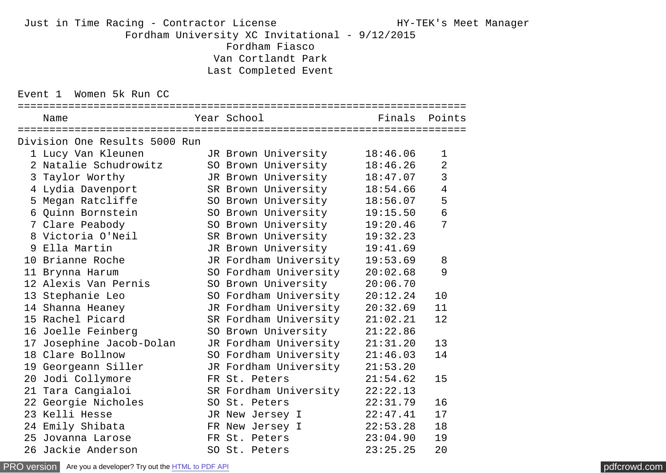## Just in Time Racing - Contractor License The Manager Manager Manager (1997) HY-TEK's Meet Manager Fordham University XC Invitational - 9/12/2015 Fordham Fiasco Van Cortlandt Park Last Completed Event

Event 1 Women 5k Run CC

| :===========================  |                       |          |                          |
|-------------------------------|-----------------------|----------|--------------------------|
| Name                          | Year School           |          | Finals Points            |
| Division One Results 5000 Run |                       |          |                          |
| 1 Lucy Van Kleunen            | JR Brown University   | 18:46.06 | 1                        |
| 2 Natalie Schudrowitz         | SO Brown University   | 18:46.26 | $\overline{2}$           |
| 3 Taylor Worthy               | JR Brown University   | 18:47.07 | 3                        |
| 4 Lydia Davenport             | SR Brown University   | 18:54.66 | $\overline{\mathcal{A}}$ |
| 5 Megan Ratcliffe             | SO Brown University   | 18:56.07 | 5                        |
| 6 Quinn Bornstein             | SO Brown University   | 19:15.50 | $\overline{6}$           |
| 7 Clare Peabody               | SO Brown University   | 19:20.46 | $\overline{7}$           |
| 8 Victoria O'Neil             | SR Brown University   | 19:32.23 |                          |
| 9 Ella Martin                 | JR Brown University   | 19:41.69 |                          |
| 10 Brianne Roche              | JR Fordham University | 19:53.69 | 8                        |
| 11 Brynna Harum               | SO Fordham University | 20:02.68 | 9                        |
| 12 Alexis Van Pernis          | SO Brown University   | 20:06.70 |                          |
| 13 Stephanie Leo              | SO Fordham University | 20:12.24 | 10                       |
| 14 Shanna Heaney              | JR Fordham University | 20:32.69 | 11                       |
| 15 Rachel Picard              | SR Fordham University | 21:02.21 | 12                       |
| 16 Joelle Feinberg            | SO Brown University   | 21:22.86 |                          |
| 17 Josephine Jacob-Dolan      | JR Fordham University | 21:31.20 | 13                       |
| 18 Clare Bollnow              | SO Fordham University | 21:46.03 | 14                       |
| 19 Georgeann Siller           | JR Fordham University | 21:53.20 |                          |
| 20 Jodi Collymore             | FR St. Peters         | 21:54.62 | 15                       |
| 21 Tara Cangialoi             | SR Fordham University | 22:22.13 |                          |
| 22 Georgie Nicholes           | SO St. Peters         | 22:31.79 | 16                       |
| 23 Kelli Hesse                | JR New Jersey I       | 22:47.41 | 17                       |
| 24 Emily Shibata              | FR New Jersey I       | 22:53.28 | 18                       |
| 25 Jovanna Larose             | FR St. Peters         | 23:04.90 | 19                       |
| 26 Jackie Anderson            | SO St. Peters         | 23:25.25 | 20                       |

[PRO version](http://pdfcrowd.com/customize/) Are you a developer? Try out th[e HTML to PDF API](http://pdfcrowd.com/html-to-pdf-api/?ref=pdf) compared to the CHTML of PDF API [pdfcrowd.com](http://pdfcrowd.com)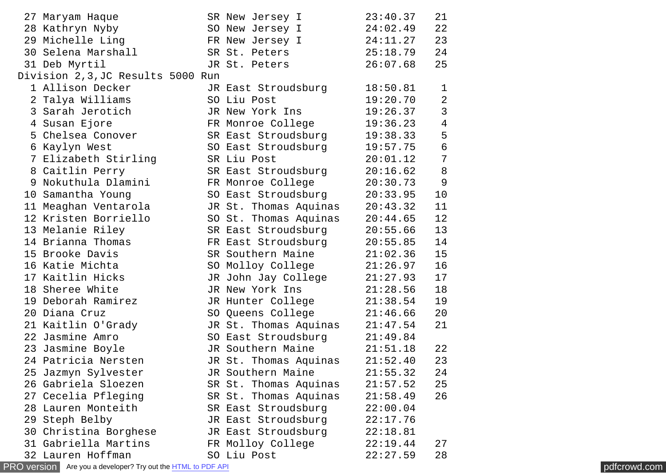|    | 27 Maryam Haque                    | SR New Jersey I       | 23:40.37 | 21                                    |
|----|------------------------------------|-----------------------|----------|---------------------------------------|
|    | 28 Kathryn Nyby                    | SO New Jersey I       | 24:02.49 | 22                                    |
|    | 29 Michelle Ling                   | FR New Jersey I       | 24:11.27 | 23                                    |
|    | 30 Selena Marshall                 | SR St. Peters         | 25:18.79 | 24                                    |
|    | 31 Deb Myrtil                      | JR St. Peters         | 26:07.68 | 25                                    |
|    | Division 2, 3, JC Results 5000 Run |                       |          |                                       |
|    | 1 Allison Decker                   | JR East Stroudsburg   | 18:50.81 | $\mathbf 1$                           |
|    | 2 Talya Williams                   | SO Liu Post           | 19:20.70 | $\overline{2}$                        |
|    | 3 Sarah Jerotich                   | JR New York Ins       | 19:26.37 | $\mathsf{3}$                          |
|    | 4 Susan Ejore                      | FR Monroe College     | 19:36.23 | $\overline{\mathbf{4}}$               |
|    | 5 Chelsea Conover                  | SR East Stroudsburg   | 19:38.33 | 5                                     |
|    | 6 Kaylyn West                      | SO East Stroudsburg   | 19:57.75 |                                       |
|    | 7 Elizabeth Stirling               | SR Liu Post           | 20:01.12 | $\begin{array}{c} 6 \\ 7 \end{array}$ |
|    | 8 Caitlin Perry                    | SR East Stroudsburg   | 20:16.62 | $\bf 8$                               |
|    | 9 Nokuthula Dlamini                | FR Monroe College     | 20:30.73 | 9                                     |
|    | 10 Samantha Young                  | SO East Stroudsburg   | 20:33.95 | 10                                    |
|    | 11 Meaghan Ventarola               | JR St. Thomas Aquinas | 20:43.32 | 11                                    |
|    | 12 Kristen Borriello               | SO St. Thomas Aquinas | 20:44.65 | 12                                    |
|    | 13 Melanie Riley                   | SR East Stroudsburg   | 20:55.66 | 13                                    |
|    | 14 Brianna Thomas                  | FR East Stroudsburg   | 20:55.85 | 14                                    |
|    | 15 Brooke Davis                    | SR Southern Maine     | 21:02.36 | 15                                    |
|    | 16 Katie Michta                    | SO Molloy College     | 21:26.97 | 16                                    |
|    | 17 Kaitlin Hicks                   | JR John Jay College   | 21:27.93 | 17                                    |
|    | 18 Sheree White                    | JR New York Ins       | 21:28.56 | 18                                    |
|    | 19 Deborah Ramirez                 | JR Hunter College     | 21:38.54 | 19                                    |
|    | 20 Diana Cruz                      | SO Queens College     | 21:46.66 | 20                                    |
|    | 21 Kaitlin O'Grady                 | JR St. Thomas Aquinas | 21:47.54 | 21                                    |
|    | 22 Jasmine Amro                    | SO East Stroudsburg   | 21:49.84 |                                       |
|    | 23 Jasmine Boyle                   | JR Southern Maine     | 21:51.18 | 22                                    |
|    | 24 Patricia Nersten                | JR St. Thomas Aquinas | 21:52.40 | 23                                    |
|    | 25 Jazmyn Sylvester                | JR Southern Maine     | 21:55.32 | 24                                    |
|    | 26 Gabriela Sloezen                | SR St. Thomas Aquinas | 21:57.52 | 25                                    |
| 27 | Cecelia Pfleging                   | SR St. Thomas Aquinas | 21:58.49 | 26                                    |
|    | 28 Lauren Monteith                 | SR East Stroudsburg   | 22:00.04 |                                       |
|    | 29 Steph Belby                     | JR East Stroudsburg   | 22:17.76 |                                       |
|    | 30 Christina Borghese              | JR East Stroudsburg   | 22:18.81 |                                       |
|    | 31 Gabriella Martins               | FR Molloy College     | 22:19.44 | 27                                    |
|    | 32 Lauren Hoffman                  | SO Liu Post           | 22:27.59 | 28                                    |

[PRO version](http://pdfcrowd.com/customize/) Are you a developer? Try out the **HTML to PDF API [pdfcrowd.com](http://pdfcrowd.com)**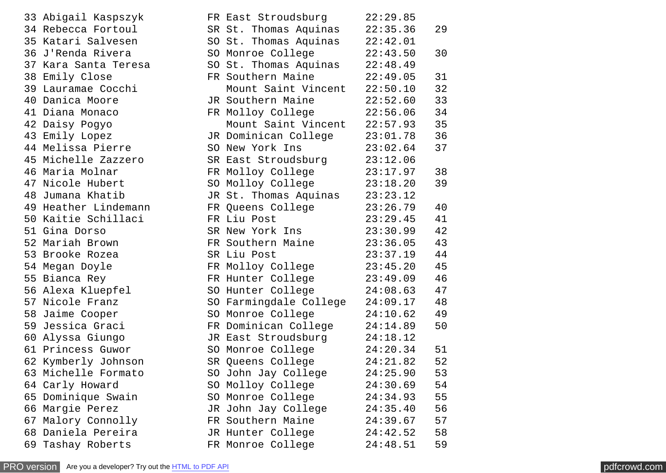33 Abigail Kaspszyk 34 Rebecca Fortoul 35 Katari Salvesen 36 J'Renda Rivera 37 Kara Santa Teresa 38 Emily Close 39 Lauramae Cocchi 40 Danica Moore 41 Diana Monaco 42 Daisy Pogyo 43 Emily Lopez 44 Melissa Pierre 45 Michelle Zazzero 46 Maria Molnar 47 Nicole Hubert 48 Jumana Khatib 49 Heather Lindemann 50 Kaitie Schillaci 51 Gina Dorso 52 Mariah Brown 53 Brooke Rozea 54 Megan Doyle 55 Bianca Rey 56 Alexa Kluepfel 57 Nicole Franz 58 Jaime Cooper 59 Jessica Graci 60 Alyssa Giungo 61 Princess Guwor 62 Kymberly Johnson 63 Michelle Formato 64 Carly Howard 65 Dominique Swain 66 Margie Perez 67 Malory Connolly 68 Daniela Pereira 69 Tashay Roberts

| FR East Stroudsburg    | 22:29.85 |    |
|------------------------|----------|----|
| SR St. Thomas Aquinas  | 22:35.36 | 29 |
| SO St. Thomas Aquinas  | 22:42.01 |    |
| SO Monroe College      | 22:43.50 | 30 |
| SO St. Thomas Aquinas  | 22:48.49 |    |
| FR Southern Maine      | 22:49.05 | 31 |
| Mount Saint Vincent    | 22:50.10 | 32 |
| JR Southern Maine      | 22:52.60 | 33 |
| FR Molloy College      | 22:56.06 | 34 |
| Mount Saint Vincent    | 22:57.93 | 35 |
| JR Dominican College   | 23:01.78 | 36 |
| SO New York Ins        | 23:02.64 | 37 |
| SR East Stroudsburg    | 23:12.06 |    |
| FR Molloy College      | 23:17.97 | 38 |
| SO Molloy College      | 23:18.20 | 39 |
| JR St. Thomas Aquinas  | 23:23.12 |    |
| FR Queens College      | 23:26.79 | 40 |
| FR Liu Post            | 23:29.45 | 41 |
| SR New York Ins        | 23:30.99 | 42 |
| FR Southern Maine      | 23:36.05 | 43 |
| SR Liu Post            | 23:37.19 | 44 |
| FR Molloy College      | 23:45.20 | 45 |
| FR Hunter College      | 23:49.09 | 46 |
| SO Hunter College      | 24:08.63 | 47 |
| SO Farmingdale College | 24:09.17 | 48 |
| SO Monroe College      | 24:10.62 | 49 |
| FR Dominican College   | 24:14.89 | 50 |
| JR East Stroudsburg    | 24:18.12 |    |
| SO Monroe College      | 24:20.34 | 51 |
| SR Queens College      | 24:21.82 | 52 |
| SO John Jay College    | 24:25.90 | 53 |
| SO Molloy College      | 24:30.69 | 54 |
| SO Monroe College      | 24:34.93 | 55 |
| JR John Jay College    | 24:35.40 | 56 |
| FR Southern Maine      | 24:39.67 | 57 |
| JR Hunter College      | 24:42.52 | 58 |
| FR Monroe College      | 24:48.51 | 59 |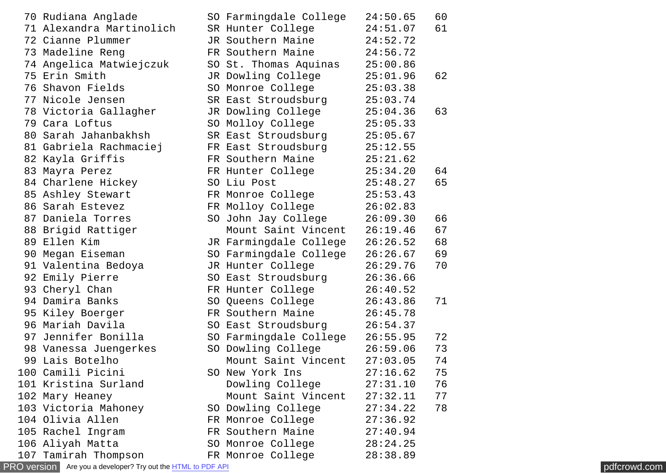|    | 70 Rudiana Anglade       | SO Farmingdale College | 24:50.65 | 60 |
|----|--------------------------|------------------------|----------|----|
|    | 71 Alexandra Martinolich | SR Hunter College      | 24:51.07 | 61 |
|    | 72 Cianne Plummer        | JR Southern Maine      | 24:52.72 |    |
|    | 73 Madeline Reng         | FR Southern Maine      | 24:56.72 |    |
|    | 74 Angelica Matwiejczuk  | SO St. Thomas Aquinas  | 25:00.86 |    |
|    | 75 Erin Smith            | JR Dowling College     | 25:01.96 | 62 |
|    | 76 Shavon Fields         | SO Monroe College      | 25:03.38 |    |
|    | 77 Nicole Jensen         | SR East Stroudsburg    | 25:03.74 |    |
|    | 78 Victoria Gallagher    | JR Dowling College     | 25:04.36 | 63 |
|    | 79 Cara Loftus           | SO Molloy College      | 25:05.33 |    |
|    | 80 Sarah Jahanbakhsh     | SR East Stroudsburg    | 25:05.67 |    |
|    | 81 Gabriela Rachmaciej   | FR East Stroudsburg    | 25:12.55 |    |
|    | 82 Kayla Griffis         | FR Southern Maine      | 25:21.62 |    |
|    | 83 Mayra Perez           | FR Hunter College      | 25:34.20 | 64 |
|    | 84 Charlene Hickey       | SO Liu Post            | 25:48.27 | 65 |
|    | 85 Ashley Stewart        | FR Monroe College      | 25:53.43 |    |
|    | 86 Sarah Estevez         | FR Molloy College      | 26:02.83 |    |
|    | 87 Daniela Torres        | SO John Jay College    | 26:09.30 | 66 |
|    | 88 Brigid Rattiger       | Mount Saint Vincent    | 26:19.46 | 67 |
|    | 89 Ellen Kim             | JR Farmingdale College | 26:26.52 | 68 |
|    | 90 Megan Eiseman         | SO Farmingdale College | 26:26.67 | 69 |
|    | 91 Valentina Bedoya      | JR Hunter College      | 26:29.76 | 70 |
|    | 92 Emily Pierre          | SO East Stroudsburg    | 26:36.66 |    |
|    | 93 Cheryl Chan           | FR Hunter College      | 26:40.52 |    |
|    | 94 Damira Banks          | SO Queens College      | 26:43.86 | 71 |
|    | 95 Kiley Boerger         | FR Southern Maine      | 26:45.78 |    |
|    | 96 Mariah Davila         | SO East Stroudsburg    | 26:54.37 |    |
| 97 | Jennifer Bonilla         | SO Farmingdale College | 26:55.95 | 72 |
|    | 98 Vanessa Juengerkes    | SO Dowling College     | 26:59.06 | 73 |
|    | 99 Lais Botelho          | Mount Saint Vincent    | 27:03.05 | 74 |
|    | 100 Camili Picini        | SO New York Ins        | 27:16.62 | 75 |
|    | 101 Kristina Surland     | Dowling College        | 27:31.10 | 76 |
|    | 102 Mary Heaney          | Mount Saint Vincent    | 27:32.11 | 77 |
|    | 103 Victoria Mahoney     | SO Dowling College     | 27:34.22 | 78 |
|    | 104 Olivia Allen         | FR Monroe College      | 27:36.92 |    |
|    | 105 Rachel Ingram        | FR Southern Maine      | 27:40.94 |    |
|    | 106 Aliyah Matta         | SO Monroe College      | 28:24.25 |    |
|    | 107 Tamirah Thompson     | FR Monroe College      | 28:38.89 |    |

[PRO version](http://pdfcrowd.com/customize/) Are you a developer? Try out the **HTML to PDF API [pdfcrowd.com](http://pdfcrowd.com)**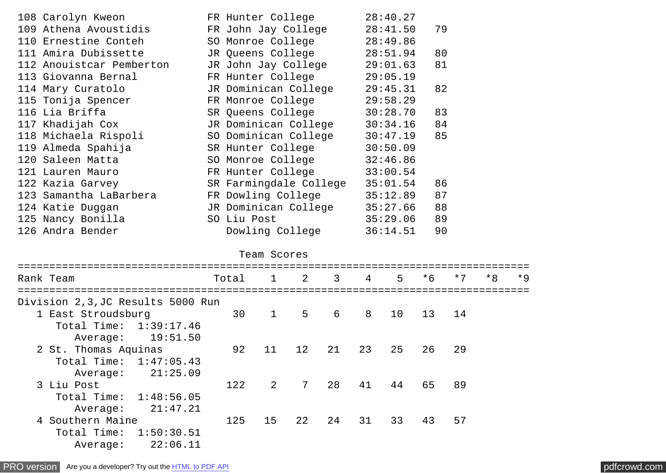| 108 Carolyn Kweon        | FR Hunter College      | 28:40.27 |    |
|--------------------------|------------------------|----------|----|
| 109 Athena Avoustidis    | FR John Jay College    | 28:41.50 | 79 |
| 110 Ernestine Conteh     | SO Monroe College      | 28:49.86 |    |
| 111 Amira Dubissette     | JR Queens College      | 28:51.94 | 80 |
| 112 Anouistcar Pemberton | JR John Jay College    | 29:01.63 | 81 |
| 113 Giovanna Bernal      | FR Hunter College      | 29:05.19 |    |
| 114 Mary Curatolo        | JR Dominican College   | 29:45.31 | 82 |
| 115 Tonija Spencer       | FR Monroe College      | 29:58.29 |    |
| 116 Lia Briffa           | SR Queens College      | 30:28.70 | 83 |
| 117 Khadijah Cox         | JR Dominican College   | 30:34.16 | 84 |
| 118 Michaela Rispoli     | SO Dominican College   | 30:47.19 | 85 |
| 119 Almeda Spahija       | SR Hunter College      | 30:50.09 |    |
| 120 Saleen Matta         | SO Monroe College      | 32:46.86 |    |
| 121 Lauren Mauro         | FR Hunter College      | 33:00.54 |    |
| 122 Kazia Garvey         | SR Farmingdale College | 35:01.54 | 86 |
| 123 Samantha LaBarbera   | FR Dowling College     | 35:12.89 | 87 |
| 124 Katie Duggan         | JR Dominican College   | 35:27.66 | 88 |
| 125 Nancy Bonilla        | SO Liu Post            | 35:29.06 | 89 |
| 126 Andra Bender         | Dowling College        | 36:14.51 | 90 |

## Team Scores

| Rank Team                          | Total |                        | $1 \quad 2 \quad 3$ |    | $\overline{4}$             | 5 <sub>1</sub> | $*6$ | $*7$ | $*8$ | $*9$ |
|------------------------------------|-------|------------------------|---------------------|----|----------------------------|----------------|------|------|------|------|
| Division 2, 3, JC Results 5000 Run |       |                        |                     |    |                            |                |      |      |      |      |
| 1 East Stroudsburg                 | 30    | $1 \quad \blacksquare$ | 5 <sup>5</sup>      | 6  | $\overline{\phantom{a}}$ 8 | 10             | 13   | 14   |      |      |
| Total Time: 1:39:17.46             |       |                        |                     |    |                            |                |      |      |      |      |
| Average: 19:51.50                  |       |                        |                     |    |                            |                |      |      |      |      |
| 2 St. Thomas Aquinas               | 92    | 11                     | 12 21 23            |    |                            | 25             | 26   | 29   |      |      |
| Total Time: 1:47:05.43             |       |                        |                     |    |                            |                |      |      |      |      |
| 21:25.09<br>Average:               |       |                        |                     |    |                            |                |      |      |      |      |
| 3 Liu Post                         | 122   | 2                      | 7 28                |    | 41                         | 44             | 65   | 89   |      |      |
| Total Time: 1:48:56.05             |       |                        |                     |    |                            |                |      |      |      |      |
| 21:47.21<br>Average:               |       |                        |                     |    |                            |                |      |      |      |      |
| 4 Southern Maine                   | 125   | 15                     | 22                  | 24 | 31                         | 33             | 43   | 57   |      |      |
| Total Time: 1:50:30.51             |       |                        |                     |    |                            |                |      |      |      |      |
| 22:06.11<br>Average:               |       |                        |                     |    |                            |                |      |      |      |      |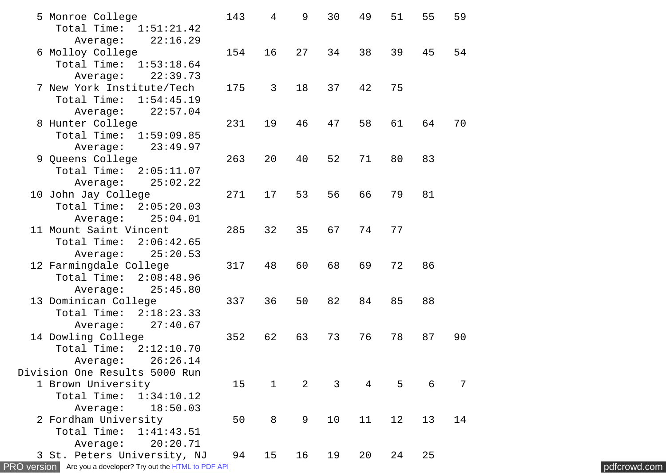|                                                                                                                                                                                                                                                                                                                                                                                                                                                                                                                                                                                                                                                                                                                                                                                                                                                                                                                                                                                      |                                                                                                                                                                    |                                                                                              |                                                                                   |                                                                                      |                                                                                        |                                                                           |                                                               | pdfcrowd.com                                 |
|--------------------------------------------------------------------------------------------------------------------------------------------------------------------------------------------------------------------------------------------------------------------------------------------------------------------------------------------------------------------------------------------------------------------------------------------------------------------------------------------------------------------------------------------------------------------------------------------------------------------------------------------------------------------------------------------------------------------------------------------------------------------------------------------------------------------------------------------------------------------------------------------------------------------------------------------------------------------------------------|--------------------------------------------------------------------------------------------------------------------------------------------------------------------|----------------------------------------------------------------------------------------------|-----------------------------------------------------------------------------------|--------------------------------------------------------------------------------------|----------------------------------------------------------------------------------------|---------------------------------------------------------------------------|---------------------------------------------------------------|----------------------------------------------|
| 5 Monroe College<br>Total Time: 1:51:21.42<br>22:16.29<br>Average:<br>6 Molloy College<br>Total Time: 1:53:18.64<br>Average:<br>22:39.73<br>7 New York Institute/Tech<br>Total Time:<br>1:54:45.19<br>Average:<br>22:57.04<br>8 Hunter College<br>Total Time: 1:59:09.85<br>23:49.97<br>Average:<br>9 Queens College<br>Total Time: 2:05:11.07<br>25:02.22<br>Average:<br>10 John Jay College<br>Total Time: 2:05:20.03<br>25:04.01<br>Average:<br>11 Mount Saint Vincent<br>Total Time:<br>2:06:42.65<br>25:20.53<br>Average:<br>12 Farmingdale College<br>Total Time: 2:08:48.96<br>25:45.80<br>Average:<br>13 Dominican College<br>Total Time:<br>2:18:23.33<br>27:40.67<br>Average:<br>14 Dowling College<br>Total Time: 2:12:10.70<br>26:26.14<br>Average:<br>Division One Results 5000 Run<br>1 Brown University<br>Total Time: 1:34:10.12<br>18:50.03<br>Average:<br>2 Fordham University<br>Total Time:<br>1:41:43.51<br>20:20.71<br>Average:<br>3 St. Peters University, NJ | 143<br>154<br>175<br>231<br>263<br>271<br>285<br>317<br>337<br>352<br>15<br>50<br>94<br><b>PRO version</b> Are you a developer? Try out the <b>HTML</b> to PDF API | 4<br>16<br>$\mathbf{3}$<br>19<br>20<br>17<br>32<br>48<br>36<br>62<br>$\mathbf{1}$<br>8<br>15 | 9<br>27<br>18<br>46<br>40<br>53<br>35<br>60<br>50<br>63<br>$2^{\circ}$<br>9<br>16 | 30<br>34<br>37<br>47<br>52<br>56<br>67<br>68<br>82<br>73<br>$\mathbf{3}$<br>10<br>19 | 49<br>38<br>42<br>58<br>71<br>66<br>74<br>69<br>84<br>76<br>$\overline{4}$<br>11<br>20 | 51<br>39<br>75<br>61<br>80<br>79<br>77<br>72<br>85<br>78<br>5<br>12<br>24 | 55<br>45<br>64<br>83<br>81<br>86<br>88<br>87<br>6<br>13<br>25 | 59<br>54<br>70<br>90<br>$\overline{7}$<br>14 |